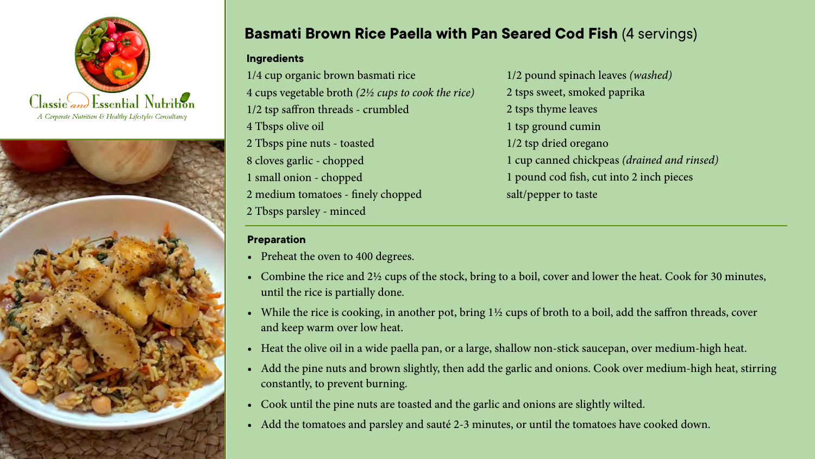



## **Basmati Brown Rice Paella with Pan Seared Cod Fish** (4 servings)

## **Ingredients**

1/4 cup organic brown basmati rice 4 cups vegetable broth *(2½ cups to cook the rice)* 1/2 tsp saffron threads - crumbled 4 Tbsps olive oil 2 Tbsps pine nuts - toasted 8 cloves garlic - chopped 1 small onion - chopped 2 medium tomatoes - finely chopped 2 Tbsps parsley - minced

## **Preparation**

- Preheat the oven to 400 degrees.
- Combine the rice and 2½ cups of the stock, bring to a boil, cover and lower the heat. Cook for 30 minutes, until the rice is partially done.
- While the rice is cooking, in another pot, bring  $1\frac{1}{2}$  cups of broth to a boil, add the saffron threads, cover and keep warm over low heat.
- Heat the olive oil in a wide paella pan, or a large, shallow non-stick saucepan, over medium-high heat.
- Add the pine nuts and brown slightly, then add the garlic and onions. Cook over medium-high heat, stirring constantly, to prevent burning.
- • Cook until the pine nuts are toasted and the garlic and onions are slightly wilted.
- Add the tomatoes and parsley and sauté 2-3 minutes, or until the tomatoes have cooked down.

1/2 pound spinach leaves *(washed)* 2 tsps sweet, smoked paprika 2 tsps thyme leaves 1 tsp ground cumin 1/2 tsp dried oregano 1 cup canned chickpeas *(drained and rinsed)* 1 pound cod fish, cut into 2 inch pieces salt/pepper to taste